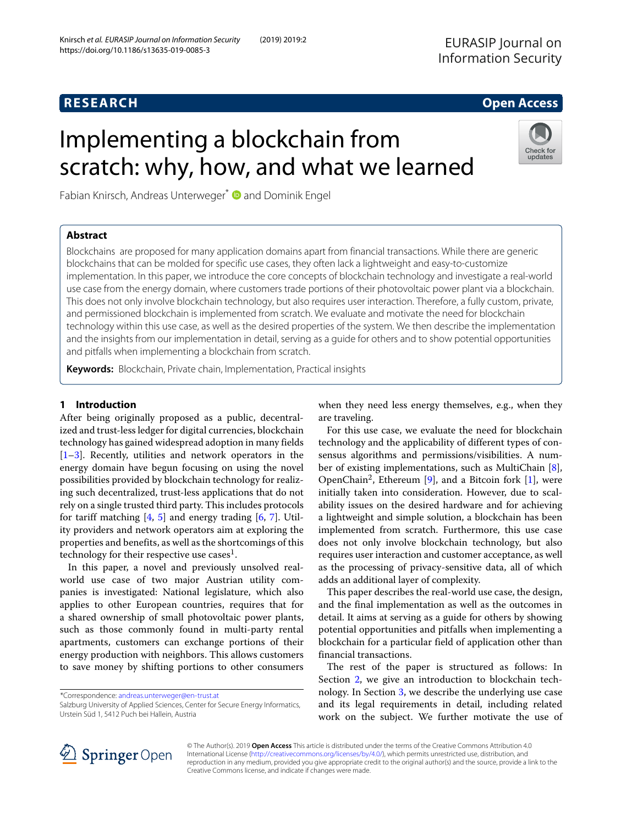## **RESEARCH Open Access**

# Implementing a blockchain from scratch: why, how, and what we learned

Fabian Knirsch, Andreas Unterweger<sup>\*</sup> <sup>1</sup> and Dominik Engel

### **Abstract**

Check for<br>updates

Blockchains are proposed for many application domains apart from financial transactions. While there are generic blockchains that can be molded for specific use cases, they often lack a lightweight and easy-to-customize implementation. In this paper, we introduce the core concepts of blockchain technology and investigate a real-world use case from the energy domain, where customers trade portions of their photovoltaic power plant via a blockchain. This does not only involve blockchain technology, but also requires user interaction. Therefore, a fully custom, private, and permissioned blockchain is implemented from scratch. We evaluate and motivate the need for blockchain technology within this use case, as well as the desired properties of the system. We then describe the implementation and the insights from our implementation in detail, serving as a guide for others and to show potential opportunities and pitfalls when implementing a blockchain from scratch.

**Keywords:** Blockchain, Private chain, Implementation, Practical insights

### <span id="page-0-0"></span>**1 Introduction**

After being originally proposed as a public, decentralized and trust-less ledger for digital currencies, blockchain technology has gained widespread adoption in many fields [\[1](#page-12-0)[–3\]](#page-12-1). Recently, utilities and network operators in the energy domain have begun focusing on using the novel possibilities provided by blockchain technology for realizing such decentralized, trust-less applications that do not rely on a single trusted third party. This includes protocols for tariff matching  $[4, 5]$  $[4, 5]$  $[4, 5]$  and energy trading  $[6, 7]$  $[6, 7]$  $[6, 7]$ . Utility providers and network operators aim at exploring the properties and benefits, as well as the shortcomings of this technology for their respective use cases<sup>1</sup>.

In this paper, a novel and previously unsolved realworld use case of two major Austrian utility companies is investigated: National legislature, which also applies to other European countries, requires that for a shared ownership of small photovoltaic power plants, such as those commonly found in multi-party rental apartments, customers can exchange portions of their energy production with neighbors. This allows customers to save money by shifting portions to other consumers

\*Correspondence: [andreas.unterweger@en-trust.at](mailto: andreas.unterweger@en-trust.at)

Salzburg University of Applied Sciences, Center for Secure Energy Informatics, Urstein Süd 1, 5412 Puch bei Hallein, Austria

when they need less energy themselves, e.g., when they are traveling.

For this use case, we evaluate the need for blockchain technology and the applicability of different types of consensus algorithms and permissions/visibilities. A number of existing implementations, such as MultiChain [\[8\]](#page-12-6), OpenChain<sup>2</sup>, Ethereum [\[9\]](#page-12-7), and a Bitcoin fork [\[1\]](#page-12-0), were initially taken into consideration. However, due to scalability issues on the desired hardware and for achieving a lightweight and simple solution, a blockchain has been implemented from scratch. Furthermore, this use case does not only involve blockchain technology, but also requires user interaction and customer acceptance, as well as the processing of privacy-sensitive data, all of which adds an additional layer of complexity.

This paper describes the real-world use case, the design, and the final implementation as well as the outcomes in detail. It aims at serving as a guide for others by showing potential opportunities and pitfalls when implementing a blockchain for a particular field of application other than financial transactions.

The rest of the paper is structured as follows: In Section [2,](#page-1-0) we give an introduction to blockchain technology. In Section [3,](#page-2-0) we describe the underlying use case and its legal requirements in detail, including related work on the subject. We further motivate the use of



© The Author(s). 2019 **Open Access** This article is distributed under the terms of the Creative Commons Attribution 4.0 International License [\(http://creativecommons.org/licenses/by/4.0/\)](http://creativecommons.org/licenses/by/4.0/), which permits unrestricted use, distribution, and reproduction in any medium, provided you give appropriate credit to the original author(s) and the source, provide a link to the Creative Commons license, and indicate if changes were made.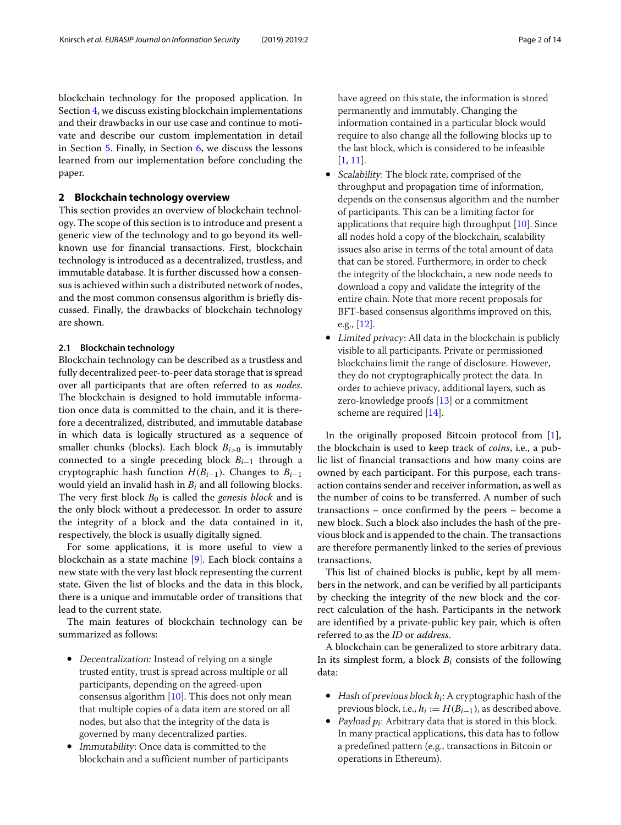blockchain technology for the proposed application. In Section [4,](#page-4-0) we discuss existing blockchain implementations and their drawbacks in our use case and continue to motivate and describe our custom implementation in detail in Section [5.](#page-6-0) Finally, in Section [6,](#page-8-0) we discuss the lessons learned from our implementation before concluding the paper.

#### <span id="page-1-0"></span>**2 Blockchain technology overview**

This section provides an overview of blockchain technology. The scope of this section is to introduce and present a generic view of the technology and to go beyond its wellknown use for financial transactions. First, blockchain technology is introduced as a decentralized, trustless, and immutable database. It is further discussed how a consensus is achieved within such a distributed network of nodes, and the most common consensus algorithm is briefly discussed. Finally, the drawbacks of blockchain technology are shown.

#### **2.1 Blockchain technology**

Blockchain technology can be described as a trustless and fully decentralized peer-to-peer data storage that is spread over all participants that are often referred to as *nodes*. The blockchain is designed to hold immutable information once data is committed to the chain, and it is therefore a decentralized, distributed, and immutable database in which data is logically structured as a sequence of smaller chunks (blocks). Each block  $B_{i>0}$  is immutably connected to a single preceding block *Bi*−<sup>1</sup> through a cryptographic hash function  $H(B_{i-1})$ . Changes to  $B_{i-1}$ would yield an invalid hash in *Bi* and all following blocks. The very first block *B*<sup>0</sup> is called the *genesis block* and is the only block without a predecessor. In order to assure the integrity of a block and the data contained in it, respectively, the block is usually digitally signed.

For some applications, it is more useful to view a blockchain as a state machine [\[9\]](#page-12-7). Each block contains a new state with the very last block representing the current state. Given the list of blocks and the data in this block, there is a unique and immutable order of transitions that lead to the current state.

The main features of blockchain technology can be summarized as follows:

- Decentralization: Instead of relying on a single trusted entity, trust is spread across multiple or all participants, depending on the agreed-upon consensus algorithm  $[10]$ . This does not only mean that multiple copies of a data item are stored on all nodes, but also that the integrity of the data is governed by many decentralized parties.
- Immutability: Once data is committed to the blockchain and a sufficient number of participants

have agreed on this state, the information is stored permanently and immutably. Changing the information contained in a particular block would require to also change all the following blocks up to the last block, which is considered to be infeasible [\[1,](#page-12-0) [11\]](#page-12-9).

- Scalability: The block rate, comprised of the throughput and propagation time of information, depends on the consensus algorithm and the number of participants. This can be a limiting factor for applications that require high throughput [\[10\]](#page-12-8). Since all nodes hold a copy of the blockchain, scalability issues also arise in terms of the total amount of data that can be stored. Furthermore, in order to check the integrity of the blockchain, a new node needs to download a copy and validate the integrity of the entire chain. Note that more recent proposals for BFT-based consensus algorithms improved on this, e.g., [\[12\]](#page-12-10).
- Limited privacy: All data in the blockchain is publicly visible to all participants. Private or permissioned blockchains limit the range of disclosure. However, they do not cryptographically protect the data. In order to achieve privacy, additional layers, such as zero-knowledge proofs [\[13\]](#page-12-11) or a commitment scheme are required [\[14\]](#page-12-12).

In the originally proposed Bitcoin protocol from  $[1]$ , the blockchain is used to keep track of *coins*, i.e., a public list of financial transactions and how many coins are owned by each participant. For this purpose, each transaction contains sender and receiver information, as well as the number of coins to be transferred. A number of such transactions – once confirmed by the peers – become a new block. Such a block also includes the hash of the previous block and is appended to the chain. The transactions are therefore permanently linked to the series of previous transactions.

This list of chained blocks is public, kept by all members in the network, and can be verified by all participants by checking the integrity of the new block and the correct calculation of the hash. Participants in the network are identified by a private-public key pair, which is often referred to as the *ID* or *address*.

A blockchain can be generalized to store arbitrary data. In its simplest form, a block *Bi* consists of the following data:

- Hash of previous block *hi*: A cryptographic hash of the previous block, i.e.,  $h_i := H(B_{i-1})$ , as described above.
- Payload *pi*: Arbitrary data that is stored in this block. In many practical applications, this data has to follow a predefined pattern (e.g., transactions in Bitcoin or operations in Ethereum).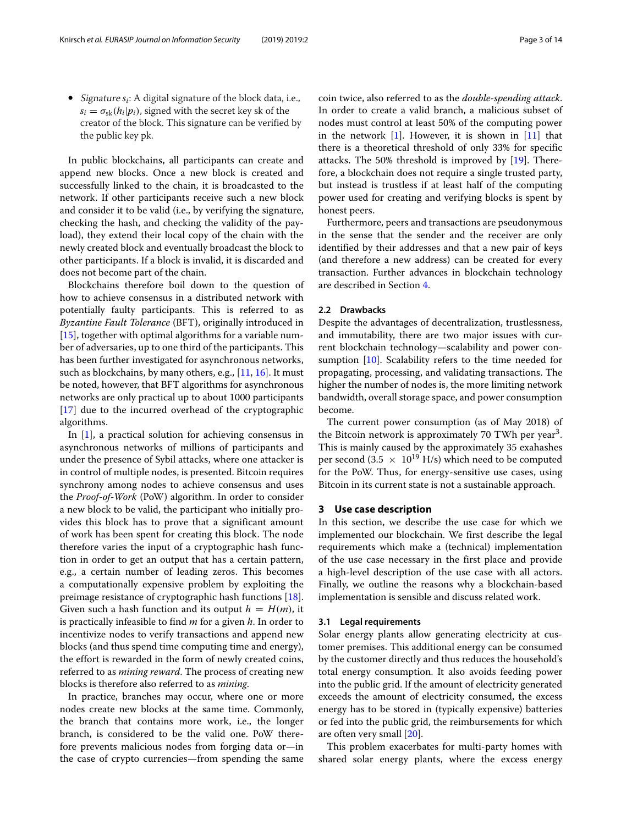• Signature *si*: A digital signature of the block data, i.e.,  $s_i = \sigma_{sk}(h_i|p_i)$ , signed with the secret key sk of the creator of the block. This signature can be verified by the public key pk.

In public blockchains, all participants can create and append new blocks. Once a new block is created and successfully linked to the chain, it is broadcasted to the network. If other participants receive such a new block and consider it to be valid (i.e., by verifying the signature, checking the hash, and checking the validity of the payload), they extend their local copy of the chain with the newly created block and eventually broadcast the block to other participants. If a block is invalid, it is discarded and does not become part of the chain.

Blockchains therefore boil down to the question of how to achieve consensus in a distributed network with potentially faulty participants. This is referred to as *Byzantine Fault Tolerance* (BFT), originally introduced in [\[15\]](#page-12-13), together with optimal algorithms for a variable number of adversaries, up to one third of the participants. This has been further investigated for asynchronous networks, such as blockchains, by many others, e.g., [\[11,](#page-12-9) [16\]](#page-12-14). It must be noted, however, that BFT algorithms for asynchronous networks are only practical up to about 1000 participants [\[17\]](#page-13-0) due to the incurred overhead of the cryptographic algorithms.

In  $[1]$ , a practical solution for achieving consensus in asynchronous networks of millions of participants and under the presence of Sybil attacks, where one attacker is in control of multiple nodes, is presented. Bitcoin requires synchrony among nodes to achieve consensus and uses the *Proof-of-Work* (PoW) algorithm. In order to consider a new block to be valid, the participant who initially provides this block has to prove that a significant amount of work has been spent for creating this block. The node therefore varies the input of a cryptographic hash function in order to get an output that has a certain pattern, e.g., a certain number of leading zeros. This becomes a computationally expensive problem by exploiting the preimage resistance of cryptographic hash functions [\[18\]](#page-13-1). Given such a hash function and its output  $h = H(m)$ , it is practically infeasible to find *m* for a given *h*. In order to incentivize nodes to verify transactions and append new blocks (and thus spend time computing time and energy), the effort is rewarded in the form of newly created coins, referred to as *mining reward*. The process of creating new blocks is therefore also referred to as *mining*.

In practice, branches may occur, where one or more nodes create new blocks at the same time. Commonly, the branch that contains more work, i.e., the longer branch, is considered to be the valid one. PoW therefore prevents malicious nodes from forging data or—in the case of crypto currencies—from spending the same coin twice, also referred to as the *double-spending attack*. In order to create a valid branch, a malicious subset of nodes must control at least 50% of the computing power in the network [\[1\]](#page-12-0). However, it is shown in [\[11\]](#page-12-9) that there is a theoretical threshold of only 33% for specific attacks. The 50% threshold is improved by [\[19\]](#page-13-2). Therefore, a blockchain does not require a single trusted party, but instead is trustless if at least half of the computing power used for creating and verifying blocks is spent by honest peers.

Furthermore, peers and transactions are pseudonymous in the sense that the sender and the receiver are only identified by their addresses and that a new pair of keys (and therefore a new address) can be created for every transaction. Further advances in blockchain technology are described in Section [4.](#page-4-0)

#### **2.2 Drawbacks**

Despite the advantages of decentralization, trustlessness, and immutability, there are two major issues with current blockchain technology—scalability and power consumption [\[10\]](#page-12-8). Scalability refers to the time needed for propagating, processing, and validating transactions. The higher the number of nodes is, the more limiting network bandwidth, overall storage space, and power consumption become.

The current power consumption (as of May 2018) of the Bitcoin network is approximately 70 TWh per year<sup>3</sup>. This is mainly caused by the approximately 35 exahashes per second (3.5  $\times$  10<sup>19</sup> H/s) which need to be computed for the PoW. Thus, for energy-sensitive use cases, using Bitcoin in its current state is not a sustainable approach.

#### <span id="page-2-0"></span>**3 Use case description**

In this section, we describe the use case for which we implemented our blockchain. We first describe the legal requirements which make a (technical) implementation of the use case necessary in the first place and provide a high-level description of the use case with all actors. Finally, we outline the reasons why a blockchain-based implementation is sensible and discuss related work.

#### **3.1 Legal requirements**

Solar energy plants allow generating electricity at customer premises. This additional energy can be consumed by the customer directly and thus reduces the household's total energy consumption. It also avoids feeding power into the public grid. If the amount of electricity generated exceeds the amount of electricity consumed, the excess energy has to be stored in (typically expensive) batteries or fed into the public grid, the reimbursements for which are often very small [\[20\]](#page-13-3).

This problem exacerbates for multi-party homes with shared solar energy plants, where the excess energy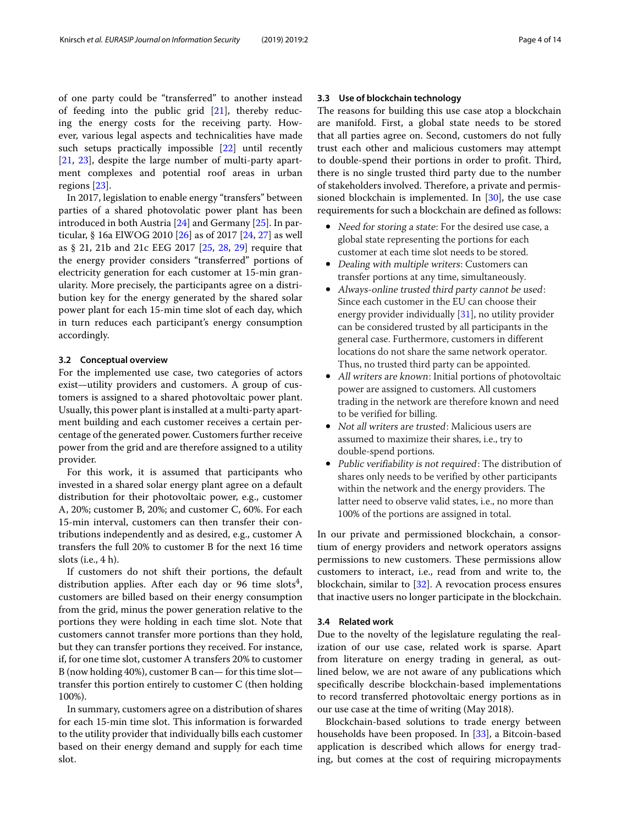of one party could be "transferred" to another instead of feeding into the public grid [\[21\]](#page-13-4), thereby reducing the energy costs for the receiving party. However, various legal aspects and technicalities have made such setups practically impossible [\[22\]](#page-13-5) until recently [\[21,](#page-13-4) [23\]](#page-13-6), despite the large number of multi-party apartment complexes and potential roof areas in urban regions [\[23\]](#page-13-6).

In 2017, legislation to enable energy "transfers" between parties of a shared photovolatic power plant has been introduced in both Austria [\[24\]](#page-13-7) and Germany [\[25\]](#page-13-8). In particular, § 16a ElWOG 2010 [\[26\]](#page-13-9) as of 2017 [\[24,](#page-13-7) [27\]](#page-13-10) as well as § 21, 21b and 21c EEG 2017 [\[25,](#page-13-8) [28,](#page-13-11) [29\]](#page-13-12) require that the energy provider considers "transferred" portions of electricity generation for each customer at 15-min granularity. More precisely, the participants agree on a distribution key for the energy generated by the shared solar power plant for each 15-min time slot of each day, which in turn reduces each participant's energy consumption accordingly.

#### **3.2 Conceptual overview**

For the implemented use case, two categories of actors exist—utility providers and customers. A group of customers is assigned to a shared photovoltaic power plant. Usually, this power plant is installed at a multi-party apartment building and each customer receives a certain percentage of the generated power. Customers further receive power from the grid and are therefore assigned to a utility provider.

For this work, it is assumed that participants who invested in a shared solar energy plant agree on a default distribution for their photovoltaic power, e.g., customer A, 20%; customer B, 20%; and customer C, 60%. For each 15-min interval, customers can then transfer their contributions independently and as desired, e.g., customer A transfers the full 20% to customer B for the next 16 time slots (i.e., 4 h).

If customers do not shift their portions, the default distribution applies. After each day or 96 time slots<sup>4</sup>, customers are billed based on their energy consumption from the grid, minus the power generation relative to the portions they were holding in each time slot. Note that customers cannot transfer more portions than they hold, but they can transfer portions they received. For instance, if, for one time slot, customer A transfers 20% to customer B (now holding 40%), customer B can— for this time slot transfer this portion entirely to customer C (then holding 100%).

In summary, customers agree on a distribution of shares for each 15-min time slot. This information is forwarded to the utility provider that individually bills each customer based on their energy demand and supply for each time slot.

#### **3.3 Use of blockchain technology**

The reasons for building this use case atop a blockchain are manifold. First, a global state needs to be stored that all parties agree on. Second, customers do not fully trust each other and malicious customers may attempt to double-spend their portions in order to profit. Third, there is no single trusted third party due to the number of stakeholders involved. Therefore, a private and permissioned blockchain is implemented. In [\[30\]](#page-13-13), the use case requirements for such a blockchain are defined as follows:

- Need for storing a state: For the desired use case, a global state representing the portions for each customer at each time slot needs to be stored.
- Dealing with multiple writers: Customers can transfer portions at any time, simultaneously.
- Always-online trusted third party cannot be used: Since each customer in the EU can choose their energy provider individually [\[31\]](#page-13-14), no utility provider can be considered trusted by all participants in the general case. Furthermore, customers in different locations do not share the same network operator. Thus, no trusted third party can be appointed.
- All writers are known: Initial portions of photovoltaic power are assigned to customers. All customers trading in the network are therefore known and need to be verified for billing.
- Not all writers are trusted: Malicious users are assumed to maximize their shares, i.e., try to double-spend portions.
- Public verifiability is not required: The distribution of shares only needs to be verified by other participants within the network and the energy providers. The latter need to observe valid states, i.e., no more than 100% of the portions are assigned in total.

In our private and permissioned blockchain, a consortium of energy providers and network operators assigns permissions to new customers. These permissions allow customers to interact, i.e., read from and write to, the blockchain, similar to [\[32\]](#page-13-15). A revocation process ensures that inactive users no longer participate in the blockchain.

#### **3.4 Related work**

Due to the novelty of the legislature regulating the realization of our use case, related work is sparse. Apart from literature on energy trading in general, as outlined below, we are not aware of any publications which specifically describe blockchain-based implementations to record transferred photovoltaic energy portions as in our use case at the time of writing (May 2018).

Blockchain-based solutions to trade energy between households have been proposed. In [\[33\]](#page-13-16), a Bitcoin-based application is described which allows for energy trading, but comes at the cost of requiring micropayments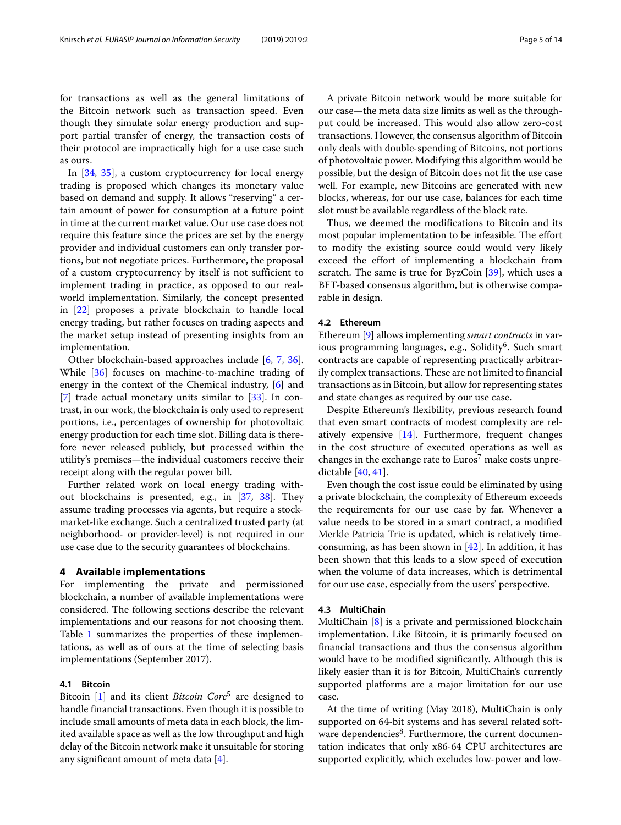for transactions as well as the general limitations of the Bitcoin network such as transaction speed. Even though they simulate solar energy production and support partial transfer of energy, the transaction costs of their protocol are impractically high for a use case such as ours.

In [\[34,](#page-13-17) [35\]](#page-13-18), a custom cryptocurrency for local energy trading is proposed which changes its monetary value based on demand and supply. It allows "reserving" a certain amount of power for consumption at a future point in time at the current market value. Our use case does not require this feature since the prices are set by the energy provider and individual customers can only transfer portions, but not negotiate prices. Furthermore, the proposal of a custom cryptocurrency by itself is not sufficient to implement trading in practice, as opposed to our realworld implementation. Similarly, the concept presented in [\[22\]](#page-13-5) proposes a private blockchain to handle local energy trading, but rather focuses on trading aspects and the market setup instead of presenting insights from an implementation.

Other blockchain-based approaches include [\[6,](#page-12-4) [7,](#page-12-5) [36\]](#page-13-19). While [\[36\]](#page-13-19) focuses on machine-to-machine trading of energy in the context of the Chemical industry, [\[6\]](#page-12-4) and [\[7\]](#page-12-5) trade actual monetary units similar to [\[33\]](#page-13-16). In contrast, in our work, the blockchain is only used to represent portions, i.e., percentages of ownership for photovoltaic energy production for each time slot. Billing data is therefore never released publicly, but processed within the utility's premises—the individual customers receive their receipt along with the regular power bill.

Further related work on local energy trading without blockchains is presented, e.g., in [\[37,](#page-13-20) [38\]](#page-13-21). They assume trading processes via agents, but require a stockmarket-like exchange. Such a centralized trusted party (at neighborhood- or provider-level) is not required in our use case due to the security guarantees of blockchains.

#### <span id="page-4-0"></span>**4 Available implementations**

For implementing the private and permissioned blockchain, a number of available implementations were considered. The following sections describe the relevant implementations and our reasons for not choosing them. Table [1](#page-5-0) summarizes the properties of these implementations, as well as of ours at the time of selecting basis implementations (September 2017).

#### **4.1 Bitcoin**

Bitcoin [\[1\]](#page-12-0) and its client *Bitcoin Core*<sup>5</sup> are designed to handle financial transactions. Even though it is possible to include small amounts of meta data in each block, the limited available space as well as the low throughput and high delay of the Bitcoin network make it unsuitable for storing any significant amount of meta data [\[4\]](#page-12-2).

A private Bitcoin network would be more suitable for our case—the meta data size limits as well as the throughput could be increased. This would also allow zero-cost transactions. However, the consensus algorithm of Bitcoin only deals with double-spending of Bitcoins, not portions of photovoltaic power. Modifying this algorithm would be possible, but the design of Bitcoin does not fit the use case well. For example, new Bitcoins are generated with new blocks, whereas, for our use case, balances for each time slot must be available regardless of the block rate.

Thus, we deemed the modifications to Bitcoin and its most popular implementation to be infeasible. The effort to modify the existing source could would very likely exceed the effort of implementing a blockchain from scratch. The same is true for ByzCoin [\[39\]](#page-13-22), which uses a BFT-based consensus algorithm, but is otherwise comparable in design.

#### <span id="page-4-1"></span>**4.2 Ethereum**

Ethereum [\[9\]](#page-12-7) allows implementing *smart contracts* in various programming languages, e.g., Solidity<sup>6</sup>. Such smart contracts are capable of representing practically arbitrarily complex transactions. These are not limited to financial transactions as in Bitcoin, but allow for representing states and state changes as required by our use case.

Despite Ethereum's flexibility, previous research found that even smart contracts of modest complexity are relatively expensive [\[14\]](#page-12-12). Furthermore, frequent changes in the cost structure of executed operations as well as changes in the exchange rate to  $Euros<sup>7</sup>$  make costs unpredictable [\[40,](#page-13-23) [41\]](#page-13-24).

Even though the cost issue could be eliminated by using a private blockchain, the complexity of Ethereum exceeds the requirements for our use case by far. Whenever a value needs to be stored in a smart contract, a modified Merkle Patricia Trie is updated, which is relatively timeconsuming, as has been shown in  $[42]$ . In addition, it has been shown that this leads to a slow speed of execution when the volume of data increases, which is detrimental for our use case, especially from the users' perspective.

#### **4.3 MultiChain**

MultiChain [\[8\]](#page-12-6) is a private and permissioned blockchain implementation. Like Bitcoin, it is primarily focused on financial transactions and thus the consensus algorithm would have to be modified significantly. Although this is likely easier than it is for Bitcoin, MultiChain's currently supported platforms are a major limitation for our use case.

At the time of writing (May 2018), MultiChain is only supported on 64-bit systems and has several related software dependencies<sup>8</sup>. Furthermore, the current documentation indicates that only x86-64 CPU architectures are supported explicitly, which excludes low-power and low-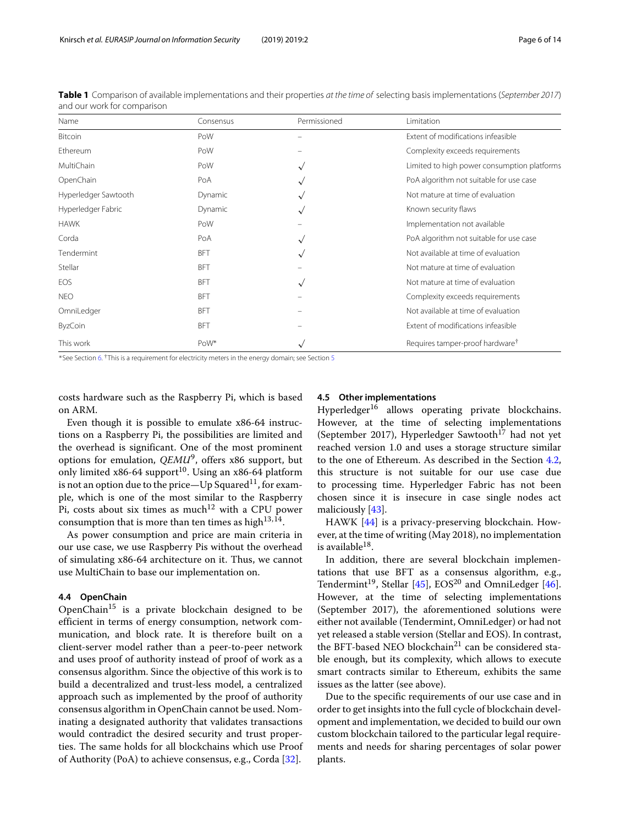| Name                 | Consensus  | Permissioned | Limitation                                  |
|----------------------|------------|--------------|---------------------------------------------|
| Bitcoin              | PoW        |              | Extent of modifications infeasible          |
| Ethereum             | PoW        |              | Complexity exceeds requirements             |
| MultiChain           | PoW        |              | Limited to high power consumption platforms |
| OpenChain            | PoA        |              | PoA algorithm not suitable for use case     |
| Hyperledger Sawtooth | Dynamic    |              | Not mature at time of evaluation            |
| Hyperledger Fabric   | Dynamic    | $\checkmark$ | Known security flaws                        |
| <b>HAWK</b>          | PoW        |              | Implementation not available                |
| Corda                | PoA        |              | PoA algorithm not suitable for use case     |
| Tendermint           | <b>BFT</b> |              | Not available at time of evaluation         |
| Stellar              | <b>BFT</b> |              | Not mature at time of evaluation            |
| EOS                  | <b>BFT</b> | $\checkmark$ | Not mature at time of evaluation            |
| <b>NEO</b>           | <b>BFT</b> |              | Complexity exceeds requirements             |
| OmniLedger           | <b>BFT</b> |              | Not available at time of evaluation         |
| <b>ByzCoin</b>       | <b>BFT</b> |              | Extent of modifications infeasible          |
| This work            | PoW*       | $\checkmark$ | Requires tamper-proof hardware <sup>†</sup> |

<span id="page-5-0"></span>**Table 1** Comparison of available implementations and their properties at the time of selecting basis implementations (September 2017) and our work for comparison

<sup>∗</sup>See Section [6.](#page-8-0) †This is a requirement for electricity meters in the energy domain; see Section [5](#page-6-0)

costs hardware such as the Raspberry Pi, which is based on ARM.

Even though it is possible to emulate x86-64 instructions on a Raspberry Pi, the possibilities are limited and the overhead is significant. One of the most prominent options for emulation, *QEMU*9, offers x86 support, but only limited x86-64 support<sup>10</sup>. Using an x86-64 platform is not an option due to the price—Up Squared<sup>11</sup>, for example, which is one of the most similar to the Raspberry Pi, costs about six times as much<sup>12</sup> with a CPU power consumption that is more than ten times as high $13,14$ .

As power consumption and price are main criteria in our use case, we use Raspberry Pis without the overhead of simulating x86-64 architecture on it. Thus, we cannot use MultiChain to base our implementation on.

#### **4.4 OpenChain**

OpenChain<sup>15</sup> is a private blockchain designed to be efficient in terms of energy consumption, network communication, and block rate. It is therefore built on a client-server model rather than a peer-to-peer network and uses proof of authority instead of proof of work as a consensus algorithm. Since the objective of this work is to build a decentralized and trust-less model, a centralized approach such as implemented by the proof of authority consensus algorithm in OpenChain cannot be used. Nominating a designated authority that validates transactions would contradict the desired security and trust properties. The same holds for all blockchains which use Proof of Authority (PoA) to achieve consensus, e.g., Corda [\[32\]](#page-13-15).

#### **4.5 Other implementations**

Hyperledger<sup>16</sup> allows operating private blockchains. However, at the time of selecting implementations (September 2017), Hyperledger Sawtooth<sup>17</sup> had not yet reached version 1.0 and uses a storage structure similar to the one of Ethereum. As described in the Section [4.2,](#page-4-1) this structure is not suitable for our use case due to processing time. Hyperledger Fabric has not been chosen since it is insecure in case single nodes act maliciously [\[43\]](#page-13-26).

HAWK [\[44\]](#page-13-27) is a privacy-preserving blockchain. However, at the time of writing (May 2018), no implementation is available $^{18}$ .

In addition, there are several blockchain implementations that use BFT as a consensus algorithm, e.g., Tendermint<sup>19</sup>, Stellar [\[45\]](#page-13-28), EOS<sup>20</sup> and OmniLedger [\[46\]](#page-13-29). However, at the time of selecting implementations (September 2017), the aforementioned solutions were either not available (Tendermint, OmniLedger) or had not yet released a stable version (Stellar and EOS). In contrast, the BFT-based NEO blockchain<sup>21</sup> can be considered stable enough, but its complexity, which allows to execute smart contracts similar to Ethereum, exhibits the same issues as the latter (see above).

Due to the specific requirements of our use case and in order to get insights into the full cycle of blockchain development and implementation, we decided to build our own custom blockchain tailored to the particular legal requirements and needs for sharing percentages of solar power plants.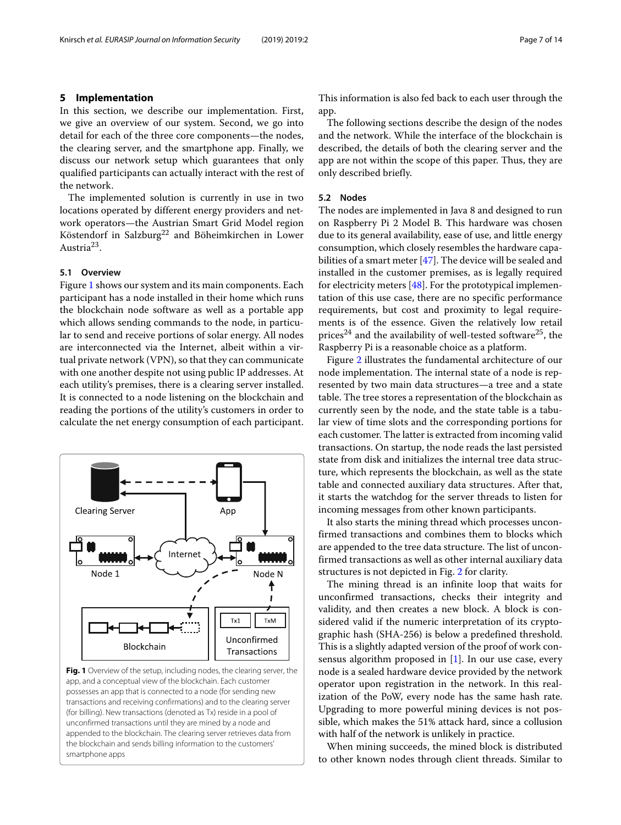<span id="page-6-0"></span>In this section, we describe our implementation. First, we give an overview of our system. Second, we go into detail for each of the three core components—the nodes, the clearing server, and the smartphone app. Finally, we discuss our network setup which guarantees that only qualified participants can actually interact with the rest of the network.

The implemented solution is currently in use in two locations operated by different energy providers and network operators—the Austrian Smart Grid Model region Köstendorf in Salzburg<sup>22</sup> and Böheimkirchen in Lower Austria<sup>23</sup>.

#### **5.1 Overview**

Figure [1](#page-6-1) shows our system and its main components. Each participant has a node installed in their home which runs the blockchain node software as well as a portable app which allows sending commands to the node, in particular to send and receive portions of solar energy. All nodes are interconnected via the Internet, albeit within a virtual private network (VPN), so that they can communicate with one another despite not using public IP addresses. At each utility's premises, there is a clearing server installed. It is connected to a node listening on the blockchain and reading the portions of the utility's customers in order to calculate the net energy consumption of each participant.



<span id="page-6-1"></span>app, and a conceptual view of the blockchain. Each customer possesses an app that is connected to a node (for sending new transactions and receiving confirmations) and to the clearing server (for billing). New transactions (denoted as Tx) reside in a pool of unconfirmed transactions until they are mined by a node and appended to the blockchain. The clearing server retrieves data from the blockchain and sends billing information to the customers' smartphone apps

This information is also fed back to each user through the app.

The following sections describe the design of the nodes and the network. While the interface of the blockchain is described, the details of both the clearing server and the app are not within the scope of this paper. Thus, they are only described briefly.

#### **5.2 Nodes**

The nodes are implemented in Java 8 and designed to run on Raspberry Pi 2 Model B. This hardware was chosen due to its general availability, ease of use, and little energy consumption, which closely resembles the hardware capabilities of a smart meter [\[47\]](#page-13-30). The device will be sealed and installed in the customer premises, as is legally required for electricity meters [\[48\]](#page-13-31). For the prototypical implementation of this use case, there are no specific performance requirements, but cost and proximity to legal requirements is of the essence. Given the relatively low retail prices<sup>24</sup> and the availability of well-tested software<sup>25</sup>, the Raspberry Pi is a reasonable choice as a platform.

Figure [2](#page-7-0) illustrates the fundamental architecture of our node implementation. The internal state of a node is represented by two main data structures—a tree and a state table. The tree stores a representation of the blockchain as currently seen by the node, and the state table is a tabular view of time slots and the corresponding portions for each customer. The latter is extracted from incoming valid transactions. On startup, the node reads the last persisted state from disk and initializes the internal tree data structure, which represents the blockchain, as well as the state table and connected auxiliary data structures. After that, it starts the watchdog for the server threads to listen for incoming messages from other known participants.

It also starts the mining thread which processes unconfirmed transactions and combines them to blocks which are appended to the tree data structure. The list of unconfirmed transactions as well as other internal auxiliary data structures is not depicted in Fig. [2](#page-7-0) for clarity.

The mining thread is an infinite loop that waits for unconfirmed transactions, checks their integrity and validity, and then creates a new block. A block is considered valid if the numeric interpretation of its cryptographic hash (SHA-256) is below a predefined threshold. This is a slightly adapted version of the proof of work consensus algorithm proposed in  $[1]$ . In our use case, every node is a sealed hardware device provided by the network operator upon registration in the network. In this realization of the PoW, every node has the same hash rate. Upgrading to more powerful mining devices is not possible, which makes the 51% attack hard, since a collusion with half of the network is unlikely in practice.

When mining succeeds, the mined block is distributed to other known nodes through client threads. Similar to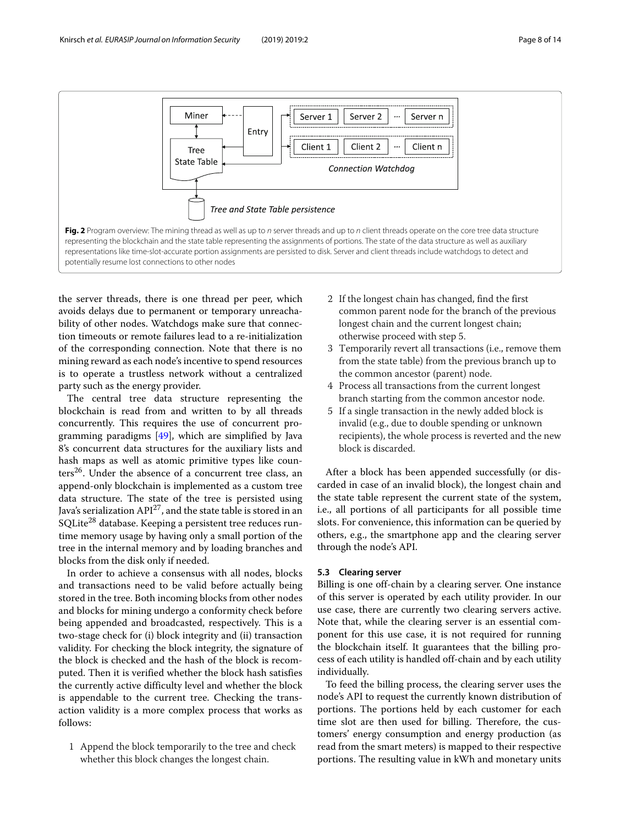

<span id="page-7-0"></span>the server threads, there is one thread per peer, which avoids delays due to permanent or temporary unreachability of other nodes. Watchdogs make sure that connection timeouts or remote failures lead to a re-initialization of the corresponding connection. Note that there is no mining reward as each node's incentive to spend resources is to operate a trustless network without a centralized party such as the energy provider.

The central tree data structure representing the blockchain is read from and written to by all threads concurrently. This requires the use of concurrent programming paradigms [\[49\]](#page-13-32), which are simplified by Java 8's concurrent data structures for the auxiliary lists and hash maps as well as atomic primitive types like counters<sup>26</sup>. Under the absence of a concurrent tree class, an append-only blockchain is implemented as a custom tree data structure. The state of the tree is persisted using Java's serialization  $API^{27}$ , and the state table is stored in an SQLite<sup>28</sup> database. Keeping a persistent tree reduces runtime memory usage by having only a small portion of the tree in the internal memory and by loading branches and blocks from the disk only if needed.

In order to achieve a consensus with all nodes, blocks and transactions need to be valid before actually being stored in the tree. Both incoming blocks from other nodes and blocks for mining undergo a conformity check before being appended and broadcasted, respectively. This is a two-stage check for (i) block integrity and (ii) transaction validity. For checking the block integrity, the signature of the block is checked and the hash of the block is recomputed. Then it is verified whether the block hash satisfies the currently active difficulty level and whether the block is appendable to the current tree. Checking the transaction validity is a more complex process that works as follows:

1 Append the block temporarily to the tree and check whether this block changes the longest chain.

- 2 If the longest chain has changed, find the first common parent node for the branch of the previous longest chain and the current longest chain; otherwise proceed with step 5.
- 3 Temporarily revert all transactions (i.e., remove them from the state table) from the previous branch up to the common ancestor (parent) node.
- 4 Process all transactions from the current longest branch starting from the common ancestor node.
- 5 If a single transaction in the newly added block is invalid (e.g., due to double spending or unknown recipients), the whole process is reverted and the new block is discarded.

After a block has been appended successfully (or discarded in case of an invalid block), the longest chain and the state table represent the current state of the system, i.e., all portions of all participants for all possible time slots. For convenience, this information can be queried by others, e.g., the smartphone app and the clearing server through the node's API.

#### **5.3 Clearing server**

Billing is one off-chain by a clearing server. One instance of this server is operated by each utility provider. In our use case, there are currently two clearing servers active. Note that, while the clearing server is an essential component for this use case, it is not required for running the blockchain itself. It guarantees that the billing process of each utility is handled off-chain and by each utility individually.

To feed the billing process, the clearing server uses the node's API to request the currently known distribution of portions. The portions held by each customer for each time slot are then used for billing. Therefore, the customers' energy consumption and energy production (as read from the smart meters) is mapped to their respective portions. The resulting value in kWh and monetary units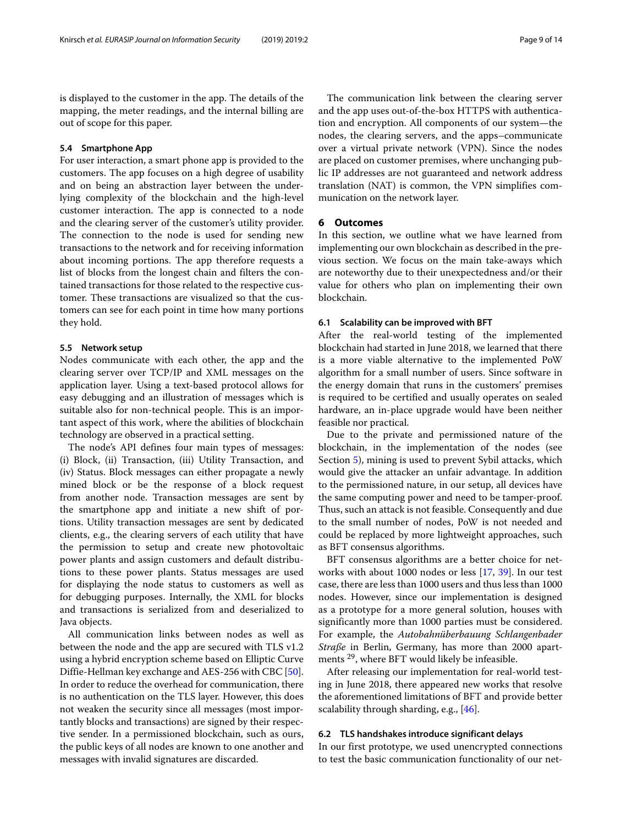is displayed to the customer in the app. The details of the mapping, the meter readings, and the internal billing are out of scope for this paper.

#### **5.4 Smartphone App**

For user interaction, a smart phone app is provided to the customers. The app focuses on a high degree of usability and on being an abstraction layer between the underlying complexity of the blockchain and the high-level customer interaction. The app is connected to a node and the clearing server of the customer's utility provider. The connection to the node is used for sending new transactions to the network and for receiving information about incoming portions. The app therefore requests a list of blocks from the longest chain and filters the contained transactions for those related to the respective customer. These transactions are visualized so that the customers can see for each point in time how many portions they hold.

#### **5.5 Network setup**

Nodes communicate with each other, the app and the clearing server over TCP/IP and XML messages on the application layer. Using a text-based protocol allows for easy debugging and an illustration of messages which is suitable also for non-technical people. This is an important aspect of this work, where the abilities of blockchain technology are observed in a practical setting.

The node's API defines four main types of messages: (i) Block, (ii) Transaction, (iii) Utility Transaction, and (iv) Status. Block messages can either propagate a newly mined block or be the response of a block request from another node. Transaction messages are sent by the smartphone app and initiate a new shift of portions. Utility transaction messages are sent by dedicated clients, e.g., the clearing servers of each utility that have the permission to setup and create new photovoltaic power plants and assign customers and default distributions to these power plants. Status messages are used for displaying the node status to customers as well as for debugging purposes. Internally, the XML for blocks and transactions is serialized from and deserialized to Java objects.

All communication links between nodes as well as between the node and the app are secured with TLS v1.2 using a hybrid encryption scheme based on Elliptic Curve Diffie-Hellman key exchange and AES-256 with CBC [\[50\]](#page-13-33). In order to reduce the overhead for communication, there is no authentication on the TLS layer. However, this does not weaken the security since all messages (most importantly blocks and transactions) are signed by their respective sender. In a permissioned blockchain, such as ours, the public keys of all nodes are known to one another and messages with invalid signatures are discarded.

The communication link between the clearing server and the app uses out-of-the-box HTTPS with authentication and encryption. All components of our system—the nodes, the clearing servers, and the apps–communicate over a virtual private network (VPN). Since the nodes are placed on customer premises, where unchanging public IP addresses are not guaranteed and network address translation (NAT) is common, the VPN simplifies communication on the network layer.

#### <span id="page-8-0"></span>**6 Outcomes**

In this section, we outline what we have learned from implementing our own blockchain as described in the previous section. We focus on the main take-aways which are noteworthy due to their unexpectedness and/or their value for others who plan on implementing their own blockchain.

#### **6.1 Scalability can be improved with BFT**

After the real-world testing of the implemented blockchain had started in June 2018, we learned that there is a more viable alternative to the implemented PoW algorithm for a small number of users. Since software in the energy domain that runs in the customers' premises is required to be certified and usually operates on sealed hardware, an in-place upgrade would have been neither feasible nor practical.

Due to the private and permissioned nature of the blockchain, in the implementation of the nodes (see Section [5\)](#page-6-0), mining is used to prevent Sybil attacks, which would give the attacker an unfair advantage. In addition to the permissioned nature, in our setup, all devices have the same computing power and need to be tamper-proof. Thus, such an attack is not feasible. Consequently and due to the small number of nodes, PoW is not needed and could be replaced by more lightweight approaches, such as BFT consensus algorithms.

BFT consensus algorithms are a better choice for networks with about 1000 nodes or less [\[17,](#page-13-0) [39\]](#page-13-22). In our test case, there are less than 1000 users and thus less than 1000 nodes. However, since our implementation is designed as a prototype for a more general solution, houses with significantly more than 1000 parties must be considered. For example, the *Autobahnüberbauung Schlangenbader Straße* in Berlin, Germany, has more than 2000 apartments <sup>29</sup>, where BFT would likely be infeasible.

After releasing our implementation for real-world testing in June 2018, there appeared new works that resolve the aforementioned limitations of BFT and provide better scalability through sharding, e.g., [\[46\]](#page-13-29).

#### **6.2 TLS handshakes introduce significant delays**

In our first prototype, we used unencrypted connections to test the basic communication functionality of our net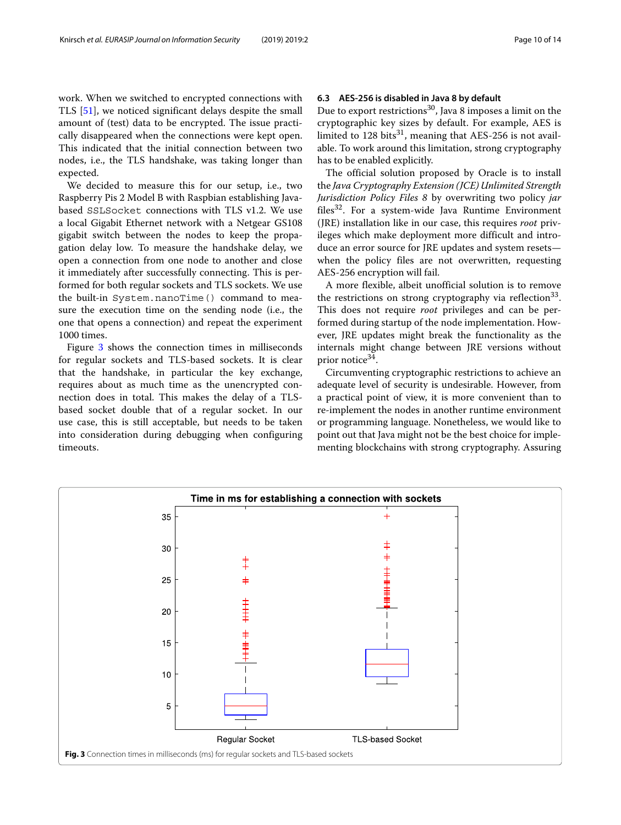work. When we switched to encrypted connections with TLS [\[51\]](#page-13-34), we noticed significant delays despite the small amount of (test) data to be encrypted. The issue practically disappeared when the connections were kept open. This indicated that the initial connection between two nodes, i.e., the TLS handshake, was taking longer than expected.

We decided to measure this for our setup, i.e., two Raspberry Pis 2 Model B with Raspbian establishing Javabased SSLSocket connections with TLS v1.2. We use a local Gigabit Ethernet network with a Netgear GS108 gigabit switch between the nodes to keep the propagation delay low. To measure the handshake delay, we open a connection from one node to another and close it immediately after successfully connecting. This is performed for both regular sockets and TLS sockets. We use the built-in System.nanoTime() command to measure the execution time on the sending node (i.e., the one that opens a connection) and repeat the experiment 1000 times.

Figure [3](#page-9-0) shows the connection times in milliseconds for regular sockets and TLS-based sockets. It is clear that the handshake, in particular the key exchange, requires about as much time as the unencrypted connection does in total. This makes the delay of a TLSbased socket double that of a regular socket. In our use case, this is still acceptable, but needs to be taken into consideration during debugging when configuring timeouts.

#### **6.3 AES-256 is disabled in Java 8 by default**

Due to export restrictions<sup>30</sup>, Java 8 imposes a limit on the cryptographic key sizes by default. For example, AES is limited to  $128 \text{ bits}^{31}$ , meaning that AES-256 is not available. To work around this limitation, strong cryptography has to be enabled explicitly.

The official solution proposed by Oracle is to install the *Java Cryptography Extension (JCE) Unlimited Strength Jurisdiction Policy Files 8* by overwriting two policy *jar* files $32$ . For a system-wide Java Runtime Environment (JRE) installation like in our case, this requires *root* privileges which make deployment more difficult and introduce an error source for JRE updates and system resets when the policy files are not overwritten, requesting AES-256 encryption will fail.

A more flexible, albeit unofficial solution is to remove the restrictions on strong cryptography via reflection<sup>33</sup>. This does not require *root* privileges and can be performed during startup of the node implementation. However, JRE updates might break the functionality as the internals might change between JRE versions without prior notice<sup>34</sup>.

Circumventing cryptographic restrictions to achieve an adequate level of security is undesirable. However, from a practical point of view, it is more convenient than to re-implement the nodes in another runtime environment or programming language. Nonetheless, we would like to point out that Java might not be the best choice for implementing blockchains with strong cryptography. Assuring

<span id="page-9-0"></span>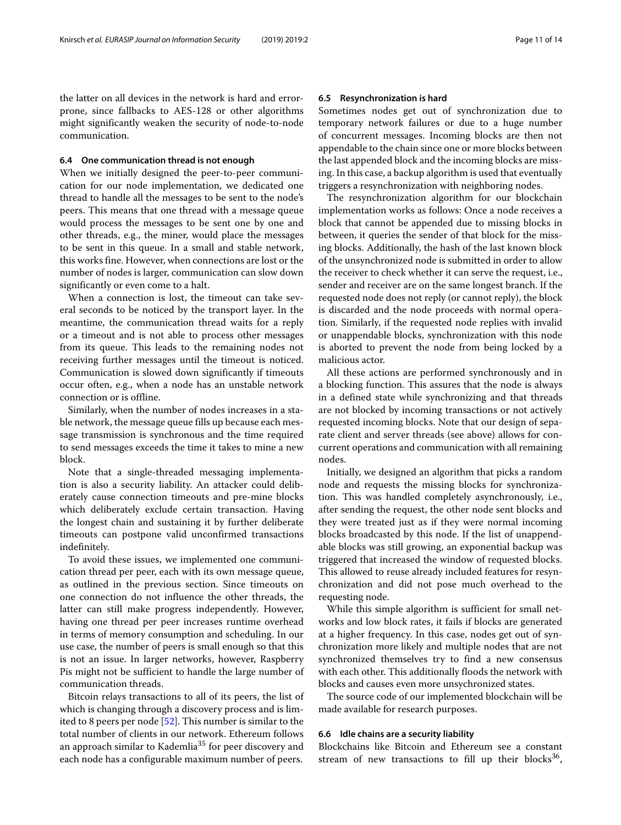the latter on all devices in the network is hard and errorprone, since fallbacks to AES-128 or other algorithms might significantly weaken the security of node-to-node communication.

#### **6.4 One communication thread is not enough**

When we initially designed the peer-to-peer communication for our node implementation, we dedicated one thread to handle all the messages to be sent to the node's peers. This means that one thread with a message queue would process the messages to be sent one by one and other threads, e.g., the miner, would place the messages to be sent in this queue. In a small and stable network, this works fine. However, when connections are lost or the number of nodes is larger, communication can slow down significantly or even come to a halt.

When a connection is lost, the timeout can take several seconds to be noticed by the transport layer. In the meantime, the communication thread waits for a reply or a timeout and is not able to process other messages from its queue. This leads to the remaining nodes not receiving further messages until the timeout is noticed. Communication is slowed down significantly if timeouts occur often, e.g., when a node has an unstable network connection or is offline.

Similarly, when the number of nodes increases in a stable network, the message queue fills up because each message transmission is synchronous and the time required to send messages exceeds the time it takes to mine a new block.

Note that a single-threaded messaging implementation is also a security liability. An attacker could deliberately cause connection timeouts and pre-mine blocks which deliberately exclude certain transaction. Having the longest chain and sustaining it by further deliberate timeouts can postpone valid unconfirmed transactions indefinitely.

To avoid these issues, we implemented one communication thread per peer, each with its own message queue, as outlined in the previous section. Since timeouts on one connection do not influence the other threads, the latter can still make progress independently. However, having one thread per peer increases runtime overhead in terms of memory consumption and scheduling. In our use case, the number of peers is small enough so that this is not an issue. In larger networks, however, Raspberry Pis might not be sufficient to handle the large number of communication threads.

Bitcoin relays transactions to all of its peers, the list of which is changing through a discovery process and is lim-ited to 8 peers per node [\[52\]](#page-13-35). This number is similar to the total number of clients in our network. Ethereum follows an approach similar to Kademlia<sup>35</sup> for peer discovery and each node has a configurable maximum number of peers.

#### **6.5 Resynchronization is hard**

Sometimes nodes get out of synchronization due to temporary network failures or due to a huge number of concurrent messages. Incoming blocks are then not appendable to the chain since one or more blocks between the last appended block and the incoming blocks are missing. In this case, a backup algorithm is used that eventually triggers a resynchronization with neighboring nodes.

The resynchronization algorithm for our blockchain implementation works as follows: Once a node receives a block that cannot be appended due to missing blocks in between, it queries the sender of that block for the missing blocks. Additionally, the hash of the last known block of the unsynchronized node is submitted in order to allow the receiver to check whether it can serve the request, i.e., sender and receiver are on the same longest branch. If the requested node does not reply (or cannot reply), the block is discarded and the node proceeds with normal operation. Similarly, if the requested node replies with invalid or unappendable blocks, synchronization with this node is aborted to prevent the node from being locked by a malicious actor.

All these actions are performed synchronously and in a blocking function. This assures that the node is always in a defined state while synchronizing and that threads are not blocked by incoming transactions or not actively requested incoming blocks. Note that our design of separate client and server threads (see above) allows for concurrent operations and communication with all remaining nodes.

Initially, we designed an algorithm that picks a random node and requests the missing blocks for synchronization. This was handled completely asynchronously, i.e., after sending the request, the other node sent blocks and they were treated just as if they were normal incoming blocks broadcasted by this node. If the list of unappendable blocks was still growing, an exponential backup was triggered that increased the window of requested blocks. This allowed to reuse already included features for resynchronization and did not pose much overhead to the requesting node.

While this simple algorithm is sufficient for small networks and low block rates, it fails if blocks are generated at a higher frequency. In this case, nodes get out of synchronization more likely and multiple nodes that are not synchronized themselves try to find a new consensus with each other. This additionally floods the network with blocks and causes even more unsychronized states.

The source code of our implemented blockchain will be made available for research purposes.

#### **6.6 Idle chains are a security liability**

Blockchains like Bitcoin and Ethereum see a constant stream of new transactions to fill up their blocks $36$ ,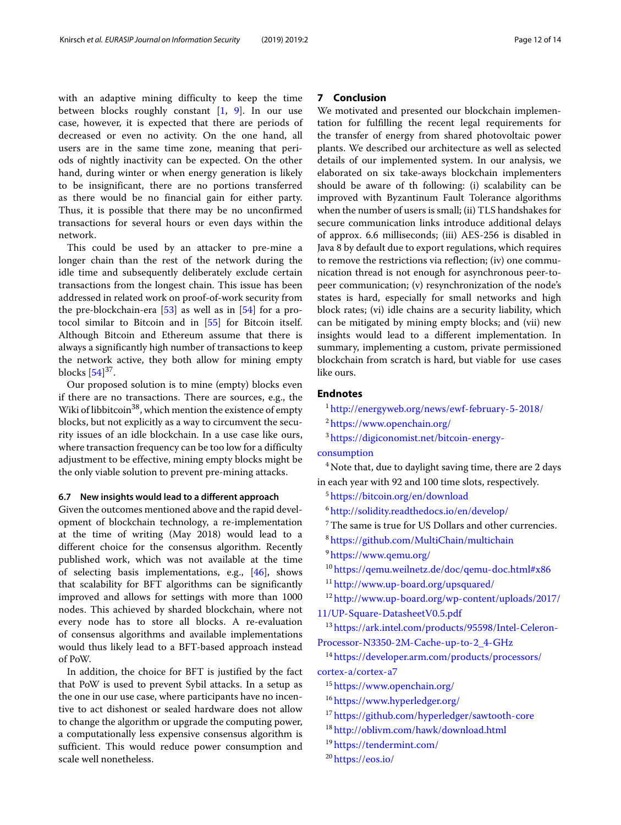with an adaptive mining difficulty to keep the time between blocks roughly constant [\[1,](#page-12-0) [9\]](#page-12-7). In our use case, however, it is expected that there are periods of decreased or even no activity. On the one hand, all users are in the same time zone, meaning that periods of nightly inactivity can be expected. On the other hand, during winter or when energy generation is likely to be insignificant, there are no portions transferred as there would be no financial gain for either party. Thus, it is possible that there may be no unconfirmed transactions for several hours or even days within the network.

This could be used by an attacker to pre-mine a longer chain than the rest of the network during the idle time and subsequently deliberately exclude certain transactions from the longest chain. This issue has been addressed in related work on proof-of-work security from the pre-blockchain-era [\[53\]](#page-13-36) as well as in [\[54\]](#page-13-37) for a protocol similar to Bitcoin and in [\[55\]](#page-13-38) for Bitcoin itself. Although Bitcoin and Ethereum assume that there is always a significantly high number of transactions to keep the network active, they both allow for mining empty blocks  $[54]^{37}$  $[54]^{37}$ .

Our proposed solution is to mine (empty) blocks even if there are no transactions. There are sources, e.g., the Wiki of libbitcoin<sup>38</sup>, which mention the existence of empty blocks, but not explicitly as a way to circumvent the security issues of an idle blockchain. In a use case like ours, where transaction frequency can be too low for a difficulty adjustment to be effective, mining empty blocks might be the only viable solution to prevent pre-mining attacks.

#### **6.7 New insights would lead to a different approach**

Given the outcomes mentioned above and the rapid development of blockchain technology, a re-implementation at the time of writing (May 2018) would lead to a different choice for the consensus algorithm. Recently published work, which was not available at the time of selecting basis implementations, e.g., [\[46\]](#page-13-29), shows that scalability for BFT algorithms can be significantly improved and allows for settings with more than 1000 nodes. This achieved by sharded blockchain, where not every node has to store all blocks. A re-evaluation of consensus algorithms and available implementations would thus likely lead to a BFT-based approach instead of PoW.

In addition, the choice for BFT is justified by the fact that PoW is used to prevent Sybil attacks. In a setup as the one in our use case, where participants have no incentive to act dishonest or sealed hardware does not allow to change the algorithm or upgrade the computing power, a computationally less expensive consensus algorithm is sufficient. This would reduce power consumption and scale well nonetheless.

#### **7 Conclusion**

We motivated and presented our blockchain implementation for fulfilling the recent legal requirements for the transfer of energy from shared photovoltaic power plants. We described our architecture as well as selected details of our implemented system. In our analysis, we elaborated on six take-aways blockchain implementers should be aware of th following: (i) scalability can be improved with Byzantinum Fault Tolerance algorithms when the number of users is small; (ii) TLS handshakes for secure communication links introduce additional delays of approx. 6.6 milliseconds; (iii) AES-256 is disabled in Java 8 by default due to export regulations, which requires to remove the restrictions via reflection; (iv) one communication thread is not enough for asynchronous peer-topeer communication; (v) resynchronization of the node's states is hard, especially for small networks and high block rates; (vi) idle chains are a security liability, which can be mitigated by mining empty blocks; and (vii) new insights would lead to a different implementation. In summary, implementing a custom, private permissioned blockchain from scratch is hard, but viable for use cases like ours.

#### **Endnotes**

<sup>1</sup> <http://energyweb.org/news/ewf-february-5-2018/>

<sup>2</sup> <https://www.openchain.org/>

```
3 https://digiconomist.net/bitcoin-energy-
```
#### [consumption](https://digiconomist.net/bitcoin-energy-consumption)

 $4$  Note that, due to daylight saving time, there are 2 days in each year with 92 and 100 time slots, respectively.

<sup>5</sup> <https://bitcoin.org/en/download>

<sup>6</sup> <http://solidity.readthedocs.io/en/develop/>

 $^7$  The same is true for US Dollars and other currencies.

<sup>8</sup> <https://github.com/MultiChain/multichain>

<sup>9</sup> <https://www.qemu.org/>

<sup>10</sup> <https://qemu.weilnetz.de/doc/qemu-doc.html#x86>

<sup>11</sup> [http://www.up-board.org/upsquared/](http://www.up-board.org/upsquared/ )

<sup>12</sup> [http://www.up-board.org/wp-content/uploads/2017/](http://www.up-board.org/wp-content/uploads/2017/11/UP-Square-DatasheetV0.5.pdf)

[11/UP-Square-DatasheetV0.5.pdf](http://www.up-board.org/wp-content/uploads/2017/11/UP-Square-DatasheetV0.5.pdf)

<sup>13</sup> [https://ark.intel.com/products/95598/Intel-Celeron-](https://ark.intel.com/products/95598/Intel-Celeron-Processor-N3350-2M-Cache-up-to-2_4-GHz)[Processor-N3350-2M-Cache-up-to-2\\_4-GHz](https://ark.intel.com/products/95598/Intel-Celeron-Processor-N3350-2M-Cache-up-to-2_4-GHz)

<sup>14</sup> [https://developer.arm.com/products/processors/](https://developer.arm.com/products/processors/cortex-a/cortex-a7) [cortex-a/cortex-a7](https://developer.arm.com/products/processors/cortex-a/cortex-a7)

<sup>15</sup> <https://www.openchain.org/>

- <sup>16</sup> <https://www.hyperledger.org/>
- <sup>17</sup> <https://github.com/hyperledger/sawtooth-core>
- <sup>18</sup> <http://oblivm.com/hawk/download.html>
- <sup>19</sup> <https://tendermint.com/>

<sup>20</sup> <https://eos.io/>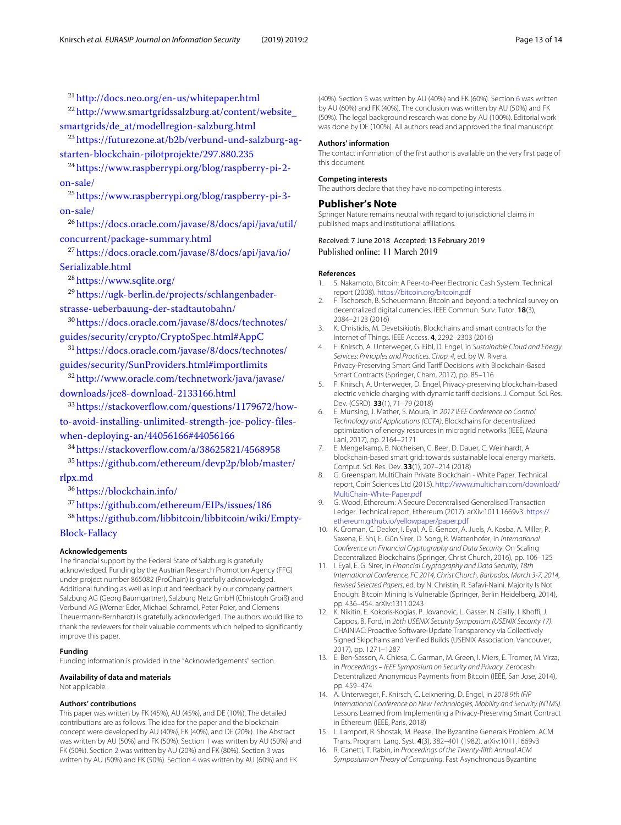<sup>21</sup> <http://docs.neo.org/en-us/whitepaper.html>

<sup>22</sup> [http://www.smartgridssalzburg.at/content/website\\_](http://www.smartgridssalzburg.at/content/website_smartgrids/de_at/modellregion-salzburg.html) [smartgrids/de\\_at/modellregion-salzburg.html](http://www.smartgridssalzburg.at/content/website_smartgrids/de_at/modellregion-salzburg.html)

<sup>23</sup> [https://futurezone.at/b2b/verbund-und-salzburg-ag](https://futurezone.at/b2b/verbund-und-salzburg-ag-starten-blockchain-pilotprojekte/297.880.235)[starten-blockchain-pilotprojekte/297.880.235](https://futurezone.at/b2b/verbund-und-salzburg-ag-starten-blockchain-pilotprojekte/297.880.235)

<sup>24</sup> [https://www.raspberrypi.org/blog/raspberry-pi-2](https://www.raspberrypi.org/blog/raspberry-pi-2-on-sale/) [on-sale/](https://www.raspberrypi.org/blog/raspberry-pi-2-on-sale/)

<sup>25</sup> [https://www.raspberrypi.org/blog/raspberry-pi-3](https://www.raspberrypi.org/blog/raspberry-pi-3-on-sale/) [on-sale/](https://www.raspberrypi.org/blog/raspberry-pi-3-on-sale/)

<sup>26</sup> [https://docs.oracle.com/javase/8/docs/api/java/util/](https://docs.oracle.com/javase/8/docs/api/java/util/concurrent/package-summary.html) [concurrent/package-summary.html](https://docs.oracle.com/javase/8/docs/api/java/util/concurrent/package-summary.html)

<sup>27</sup> [https://docs.oracle.com/javase/8/docs/api/java/io/](https://docs.oracle.com/javase/8/docs/api/java/io/Serializable.html) [Serializable.html](https://docs.oracle.com/javase/8/docs/api/java/io/Serializable.html)

<sup>28</sup> <https://www.sqlite.org/>

<sup>29</sup> [https://ugk-berlin.de/projects/schlangenbader](https://ugk-berlin.de/projects/schlangenbader-strasse-ueberbauung-der-stadtautobahn/)[strasse-ueberbauung-der-stadtautobahn/](https://ugk-berlin.de/projects/schlangenbader-strasse-ueberbauung-der-stadtautobahn/)

<sup>30</sup> [https://docs.oracle.com/javase/8/docs/technotes/](https://docs.oracle.com/javase/8/docs/technotes/guides/security/crypto/CryptoSpec.html#AppC) [guides/security/crypto/CryptoSpec.html#AppC](https://docs.oracle.com/javase/8/docs/technotes/guides/security/crypto/CryptoSpec.html#AppC)

<sup>31</sup> [https://docs.oracle.com/javase/8/docs/technotes/](https://docs.oracle.com/javase/8/docs/technotes/guides/security/SunProviders.html#importlimits) [guides/security/SunProviders.html#importlimits](https://docs.oracle.com/javase/8/docs/technotes/guides/security/SunProviders.html#importlimits)

<sup>32</sup> [http://www.oracle.com/technetwork/java/javase/](http://www.oracle.com/technetwork/java/javase/downloads/jce8-download-2133166.html) [downloads/jce8-download-2133166.html](http://www.oracle.com/technetwork/java/javase/downloads/jce8-download-2133166.html)

<sup>33</sup> [https://stackoverflow.com/questions/1179672/how](https://stackoverflow.com/questions/1179672/how-to-avoid-installing-unlimited-strength-jce-policy-files-when-deploying-an/44056166#44056166)[to-avoid-installing-unlimited-strength-jce-policy-files](https://stackoverflow.com/questions/1179672/how-to-avoid-installing-unlimited-strength-jce-policy-files-when-deploying-an/44056166#44056166)[when-deploying-an/44056166#44056166](https://stackoverflow.com/questions/1179672/how-to-avoid-installing-unlimited-strength-jce-policy-files-when-deploying-an/44056166#44056166)

<sup>34</sup> <https://stackoverflow.com/a/38625821/4568958>

<sup>35</sup> [https://github.com/ethereum/devp2p/blob/master/](https://github.com/ethereum/devp2p/blob/master/rlpx.md) [rlpx.md](https://github.com/ethereum/devp2p/blob/master/rlpx.md)

<sup>36</sup> <https://blockchain.info/>

<sup>37</sup> <https://github.com/ethereum/EIPs/issues/186>

<sup>38</sup> [https://github.com/libbitcoin/libbitcoin/wiki/Empty-](https://github.com/libbitcoin/libbitcoin/wiki/Empty-Block-Fallacy)

#### [Block-Fallacy](https://github.com/libbitcoin/libbitcoin/wiki/Empty-Block-Fallacy)

#### **Acknowledgements**

The financial support by the Federal State of Salzburg is gratefully acknowledged. Funding by the Austrian Research Promotion Agency (FFG) under project number 865082 (ProChain) is gratefully acknowledged. Additional funding as well as input and feedback by our company partners Salzburg AG (Georg Baumgartner), Salzburg Netz GmbH (Christoph Groiß) and Verbund AG (Werner Eder, Michael Schramel, Peter Poier, and Clemens Theuermann-Bernhardt) is gratefully acknowledged. The authors would like to thank the reviewers for their valuable comments which helped to significantly improve this paper.

#### **Funding**

Funding information is provided in the "Acknowledgements" section.

#### **Availability of data and materials**

Not applicable.

#### **Authors' contributions**

This paper was written by FK (45%), AU (45%), and DE (10%). The detailed contributions are as follows: The idea for the paper and the blockchain concept were developed by AU (40%), FK (40%), and DE (20%). The Abstract was written by AU (50%) and FK (50%). Section [1](#page-0-0) was written by AU (50%) and FK (50%). Section [2](#page-1-0) was written by AU (20%) and FK (80%). Section [3](#page-2-0) was written by AU (50%) and FK (50%). Section [4](#page-4-0) was written by AU (60%) and FK

(40%). Section [5](#page-6-0) was written by AU (40%) and FK (60%). Section [6](#page-8-0) was written by AU (60%) and FK (40%). The conclusion was written by AU (50%) and FK (50%). The legal background research was done by AU (100%). Editorial work was done by DE (100%). All authors read and approved the final manuscript.

#### **Authors' information**

The contact information of the first author is available on the very first page of this document.

#### **Competing interests**

The authors declare that they have no competing interests.

#### **Publisher's Note**

Springer Nature remains neutral with regard to jurisdictional claims in published maps and institutional affiliations.

Received: 7 June 2018 Accepted: 13 February 2019 Published online: 11 March 2019

#### **References**

- <span id="page-12-0"></span>1. S. Nakamoto, Bitcoin: A Peer-to-Peer Electronic Cash System. Technical report (2008). <https://bitcoin.org/bitcoin.pdf>
- 2. F. Tschorsch, B. Scheuermann, Bitcoin and beyond: a technical survey on decentralized digital currencies. IEEE Commun. Surv. Tutor. **18**(3), 2084–2123 (2016)
- <span id="page-12-1"></span>3. K. Christidis, M. Devetsikiotis, Blockchains and smart contracts for the Internet of Things. IEEE Access. **4**, 2292–2303 (2016)
- <span id="page-12-2"></span>4. F. Knirsch, A. Unterweger, G. Eibl, D. Engel, in Sustainable Cloud and Energy Services: Principles and Practices. Chap. 4, ed. by W. Rivera. Privacy-Preserving Smart Grid Tariff Decisions with Blockchain-Based Smart Contracts (Springer, Cham, 2017), pp. 85–116
- <span id="page-12-3"></span>5. F. Knirsch, A. Unterweger, D. Engel, Privacy-preserving blockchain-based electric vehicle charging with dynamic tariff decisions. J. Comput. Sci. Res. Dev. (CSRD). **33**(1), 71–79 (2018)
- <span id="page-12-4"></span>6. E. Munsing, J. Mather, S. Moura, in 2017 IEEE Conference on Control Technology and Applications (CCTA). Blockchains for decentralized optimization of energy resources in microgrid networks (IEEE, Mauna Lani, 2017), pp. 2164–2171
- <span id="page-12-5"></span>7. E. Mengelkamp, B. Notheisen, C. Beer, D. Dauer, C. Weinhardt, A blockchain-based smart grid: towards sustainable local energy markets. Comput. Sci. Res. Dev. **33**(1), 207–214 (2018)
- <span id="page-12-6"></span>8. G. Greenspan, MultiChain Private Blockchain - White Paper. Technical report, Coin Sciences Ltd (2015). [http://www.multichain.com/download/](http://www.multichain.com/download/MultiChain-White-Paper.pdf) [MultiChain-White-Paper.pdf](http://www.multichain.com/download/MultiChain-White-Paper.pdf)
- <span id="page-12-7"></span>9. G. Wood, Ethereum: A Secure Decentralised Generalised Transaction Ledger. Technical report, Ethereum (2017). arXiv:1011.1669v3. [https://](https://ethereum.github.io/yellowpaper/paper.pdf) [ethereum.github.io/yellowpaper/paper.pdf](https://ethereum.github.io/yellowpaper/paper.pdf)
- <span id="page-12-8"></span>10. K. Croman, C. Decker, I. Eyal, A. E. Gencer, A. Juels, A. Kosba, A. Miller, P. Saxena, E. Shi, E. Gün Sirer, D. Song, R. Wattenhofer, in International Conference on Financial Cryptography and Data Security. On Scaling Decentralized Blockchains (Springer, Christ Church, 2016), pp. 106–125
- <span id="page-12-9"></span>11. I. Eyal, E. G. Sirer, in Financial Cryptography and Data Security, 18th International Conference, FC 2014, Christ Church, Barbados, March 3-7, 2014, Revised Selected Papers, ed. by N. Christin, R. Safavi-Naini. Majority Is Not Enough: Bitcoin Mining Is Vulnerable (Springer, Berlin Heidelberg, 2014), pp. 436–454. arXiv:1311.0243
- <span id="page-12-10"></span>12. K. Nikitin, E. Kokoris-Kogias, P. Jovanovic, L. Gasser, N. Gailly, I. Khoffi, J. Cappos, B. Ford, in 26th USENIX Security Symposium (USENIX Security 17). CHAINIAC: Proactive Software-Update Transparency via Collectively Signed Skipchains and Verified Builds (USENIX Association, Vancouver, 2017), pp. 1271–1287
- <span id="page-12-11"></span>13. E. Ben-Sasson, A. Chiesa, C. Garman, M. Green, I. Miers, E. Tromer, M. Virza, in Proceedings – IEEE Symposium on Security and Privacy. Zerocash: Decentralized Anonymous Payments from Bitcoin (IEEE, San Jose, 2014), pp. 459–474
- <span id="page-12-12"></span>14. A. Unterweger, F. Knirsch, C. Leixnering, D. Engel, in 2018 9th IFIP International Conference on New Technologies, Mobility and Security (NTMS). Lessons Learned from Implementing a Privacy-Preserving Smart Contract in Ethereum (IEEE, Paris, 2018)
- <span id="page-12-13"></span>15. L. Lamport, R. Shostak, M. Pease, The Byzantine Generals Problem. ACM Trans. Program. Lang. Syst. **4**(3), 382–401 (1982). arXiv:1011.1669v3
- <span id="page-12-14"></span>16. R. Canetti, T. Rabin, in Proceedings of the Twenty-fifth Annual ACM Symposium on Theory of Computing. Fast Asynchronous Byzantine